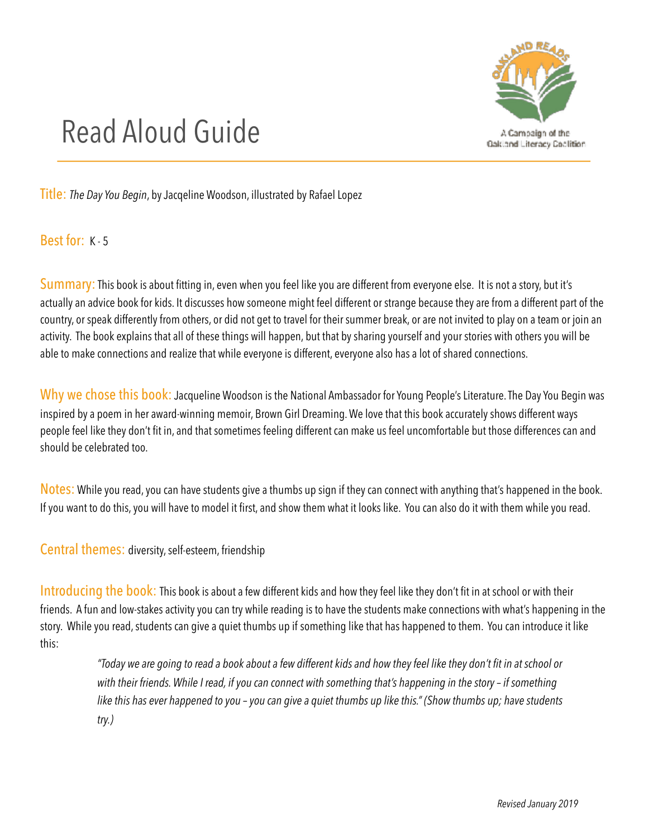

## Read Aloud Guide

Title: *The Day You Begin*, by Jacqeline Woodson, illustrated by Rafael Lopez

Best for: K - 5

Summary: This book is about fitting in, even when you feel like you are different from everyone else. It is not a story, but it's actually an advice book for kids. It discusses how someone might feel different or strange because they are from a different part of the country, or speak differently from others, or did not get to travel for their summer break, or are not invited to play on a team or join an activity. The book explains that all of these things will happen, but that by sharing yourself and your stories with others you will be able to make connections and realize that while everyone is different, everyone also has a lot of shared connections.

Why we chose this book: Jacqueline Woodson is the National Ambassador for Young People's Literature. The Day You Begin was inspired by a poem in her award-winning memoir, Brown Girl Dreaming. We love that this book accurately shows different ways people feel like they don't fit in, and that sometimes feeling different can make us feel uncomfortable but those differences can and should be celebrated too.

Notes: While you read, you can have students give a thumbs up sign if they can connect with anything that's happened in the book. If you want to do this, you will have to model it first, and show them what it looks like. You can also do it with them while you read.

Central themes: diversity, self-esteem, friendship

Introducing the book: This book is about a few different kids and how they feel like they don't fit in at school or with their friends. A fun and low-stakes activity you can try while reading is to have the students make connections with what's happening in the story. While you read, students can give a quiet thumbs up if something like that has happened to them. You can introduce it like this:

> *"Today we are going to read a book about a few different kids and how they feel like they don't fit in at school or*  with their friends. While I read, if you can connect with something that's happening in the story – if something *like this has ever happened to you – you can give a quiet thumbs up like this." (Show thumbs up; have students try.)*